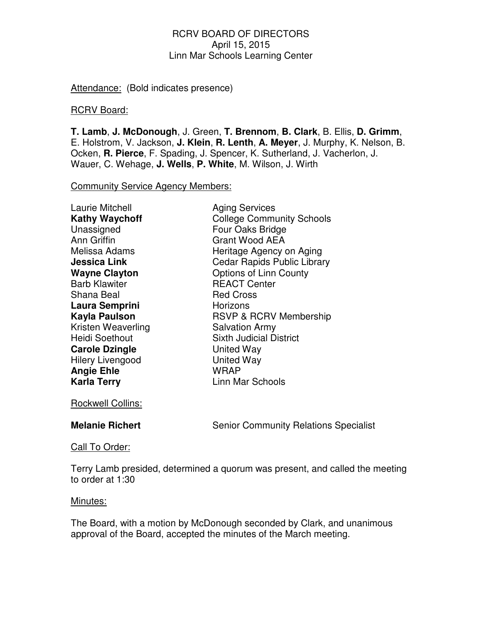Attendance: (Bold indicates presence)

#### RCRV Board:

**T. Lamb**, **J. McDonough**, J. Green, **T. Brennom**, **B. Clark**, B. Ellis, **D. Grimm**, E. Holstrom, V. Jackson, **J. Klein**, **R. Lenth**, **A. Meyer**, J. Murphy, K. Nelson, B. Ocken, **R. Pierce**, F. Spading, J. Spencer, K. Sutherland, J. Vacherlon, J. Wauer, C. Wehage, **J. Wells**, **P. White**, M. Wilson, J. Wirth

Community Service Agency Members:

| <b>Laurie Mitchell</b>  | <b>Aging Services</b>              |
|-------------------------|------------------------------------|
| <b>Kathy Waychoff</b>   | <b>College Community Schools</b>   |
| Unassigned              | Four Oaks Bridge                   |
| <b>Ann Griffin</b>      | <b>Grant Wood AEA</b>              |
| Melissa Adams           | Heritage Agency on Aging           |
| <b>Jessica Link</b>     | <b>Cedar Rapids Public Library</b> |
| <b>Wayne Clayton</b>    | <b>Options of Linn County</b>      |
| <b>Barb Klawiter</b>    | <b>REACT Center</b>                |
| Shana Beal              | <b>Red Cross</b>                   |
| Laura Semprini          | Horizons                           |
| Kayla Paulson           | <b>RSVP &amp; RCRV Membership</b>  |
| Kristen Weaverling      | <b>Salvation Army</b>              |
| <b>Heidi Soethout</b>   | <b>Sixth Judicial District</b>     |
| <b>Carole Dzingle</b>   | United Way                         |
| <b>Hilery Livengood</b> | <b>United Way</b>                  |
| <b>Angie Ehle</b>       | <b>WRAP</b>                        |
| <b>Karla Terry</b>      | <b>Linn Mar Schools</b>            |
|                         |                                    |

Rockwell Collins:

**Melanie Richert** Senior Community Relations Specialist

Call To Order:

Terry Lamb presided, determined a quorum was present, and called the meeting to order at 1:30

#### Minutes:

The Board, with a motion by McDonough seconded by Clark, and unanimous approval of the Board, accepted the minutes of the March meeting.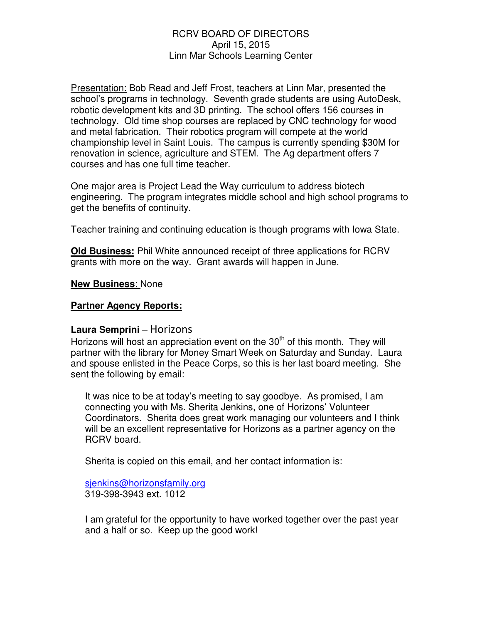Presentation: Bob Read and Jeff Frost, teachers at Linn Mar, presented the school's programs in technology. Seventh grade students are using AutoDesk, robotic development kits and 3D printing. The school offers 156 courses in technology. Old time shop courses are replaced by CNC technology for wood and metal fabrication. Their robotics program will compete at the world championship level in Saint Louis. The campus is currently spending \$30M for renovation in science, agriculture and STEM. The Ag department offers 7 courses and has one full time teacher.

One major area is Project Lead the Way curriculum to address biotech engineering. The program integrates middle school and high school programs to get the benefits of continuity.

Teacher training and continuing education is though programs with Iowa State.

**Old Business:** Phil White announced receipt of three applications for RCRV grants with more on the way. Grant awards will happen in June.

# **New Business**: None

# **Partner Agency Reports:**

# **Laura Semprini** – Horizons

Horizons will host an appreciation event on the  $30<sup>th</sup>$  of this month. They will partner with the library for Money Smart Week on Saturday and Sunday. Laura and spouse enlisted in the Peace Corps, so this is her last board meeting. She sent the following by email:

It was nice to be at today's meeting to say goodbye. As promised, I am connecting you with Ms. Sherita Jenkins, one of Horizons' Volunteer Coordinators. Sherita does great work managing our volunteers and I think will be an excellent representative for Horizons as a partner agency on the RCRV board.

Sherita is copied on this email, and her contact information is:

sjenkins@horizonsfamily.org 319-398-3943 ext. 1012

I am grateful for the opportunity to have worked together over the past year and a half or so. Keep up the good work!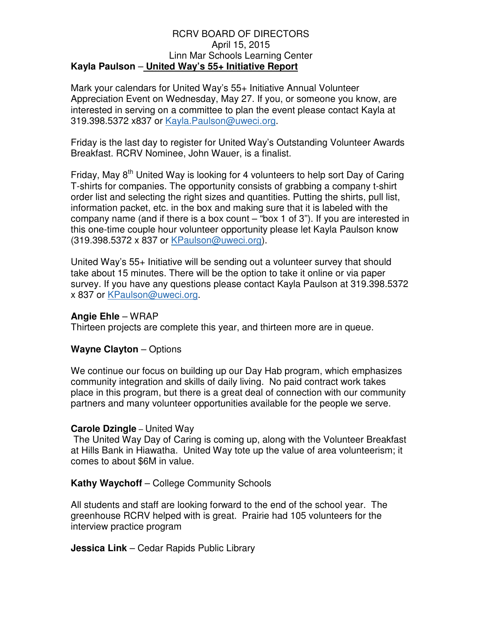#### RCRV BOARD OF DIRECTORS April 15, 2015 Linn Mar Schools Learning Center **Kayla Paulson** – **United Way's 55+ Initiative Report**

Mark your calendars for United Way's 55+ Initiative Annual Volunteer Appreciation Event on Wednesday, May 27. If you, or someone you know, are interested in serving on a committee to plan the event please contact Kayla at 319.398.5372 x837 or Kayla.Paulson@uweci.org.

Friday is the last day to register for United Way's Outstanding Volunteer Awards Breakfast. RCRV Nominee, John Wauer, is a finalist.

Friday, May 8<sup>th</sup> United Way is looking for 4 volunteers to help sort Day of Caring T-shirts for companies. The opportunity consists of grabbing a company t-shirt order list and selecting the right sizes and quantities. Putting the shirts, pull list, information packet, etc. in the box and making sure that it is labeled with the company name (and if there is a box count – "box 1 of 3"). If you are interested in this one-time couple hour volunteer opportunity please let Kayla Paulson know (319.398.5372 x 837 or KPaulson@uweci.org).

United Way's 55+ Initiative will be sending out a volunteer survey that should take about 15 minutes. There will be the option to take it online or via paper survey. If you have any questions please contact Kayla Paulson at 319.398.5372 x 837 or KPaulson@uweci.org.

#### **Angie Ehle** – WRAP

Thirteen projects are complete this year, and thirteen more are in queue.

# **Wayne Clayton** – Options

We continue our focus on building up our Day Hab program, which emphasizes community integration and skills of daily living. No paid contract work takes place in this program, but there is a great deal of connection with our community partners and many volunteer opportunities available for the people we serve. Ì

# **Carole Dzingle** – United Way

 The United Way Day of Caring is coming up, along with the Volunteer Breakfast at Hills Bank in Hiawatha. United Way tote up the value of area volunteerism; it comes to about \$6M in value.

# **Kathy Waychoff** – College Community Schools

All students and staff are looking forward to the end of the school year. The greenhouse RCRV helped with is great. Prairie had 105 volunteers for the interview practice program

**Jessica Link** – Cedar Rapids Public Library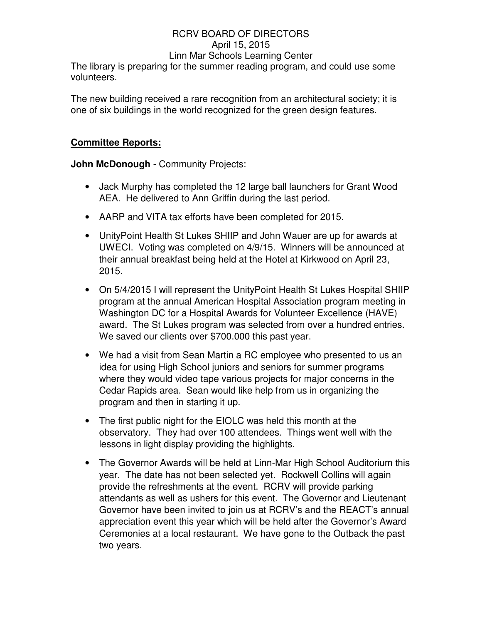The library is preparing for the summer reading program, and could use some volunteers.

The new building received a rare recognition from an architectural society; it is one of six buildings in the world recognized for the green design features.

# **Committee Reports:**

**John McDonough** - Community Projects:

- Jack Murphy has completed the 12 large ball launchers for Grant Wood AEA. He delivered to Ann Griffin during the last period.
- AARP and VITA tax efforts have been completed for 2015.
- UnityPoint Health St Lukes SHIIP and John Wauer are up for awards at UWECI. Voting was completed on 4/9/15. Winners will be announced at their annual breakfast being held at the Hotel at Kirkwood on April 23, 2015.
- On 5/4/2015 I will represent the UnityPoint Health St Lukes Hospital SHIIP program at the annual American Hospital Association program meeting in Washington DC for a Hospital Awards for Volunteer Excellence (HAVE) award. The St Lukes program was selected from over a hundred entries. We saved our clients over \$700.000 this past year.
- We had a visit from Sean Martin a RC employee who presented to us an idea for using High School juniors and seniors for summer programs where they would video tape various projects for major concerns in the Cedar Rapids area. Sean would like help from us in organizing the program and then in starting it up.
- The first public night for the EIOLC was held this month at the observatory. They had over 100 attendees. Things went well with the lessons in light display providing the highlights.
- The Governor Awards will be held at Linn-Mar High School Auditorium this year. The date has not been selected yet. Rockwell Collins will again provide the refreshments at the event. RCRV will provide parking attendants as well as ushers for this event. The Governor and Lieutenant Governor have been invited to join us at RCRV's and the REACT's annual appreciation event this year which will be held after the Governor's Award Ceremonies at a local restaurant. We have gone to the Outback the past two years.